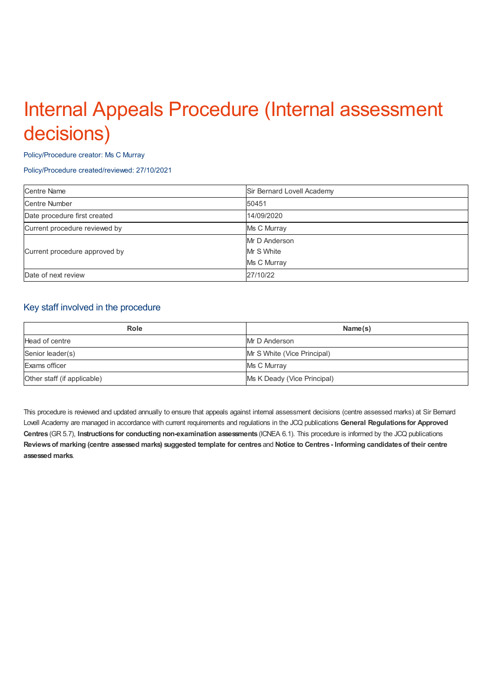# Internal Appeals Procedure (Internal assessment decisions)

#### Policy/Procedure creator: Ms C Murray

#### Policy/Procedure created/reviewed: 27/10/2021

| <b>Centre Name</b>            | Sir Bernard Lovell Academy |
|-------------------------------|----------------------------|
| <b>Centre Number</b>          | 50451                      |
| Date procedure first created  | 14/09/2020                 |
| Current procedure reviewed by | Ms C Murray                |
| Current procedure approved by | Mr D Anderson              |
|                               | Mr S White                 |
|                               | Ms C Murray                |
| Date of next review           | 27/10/22                   |

### Key staff involved in the procedure

| Role                        | Name(s)                     |
|-----------------------------|-----------------------------|
| Head of centre              | Mr D Anderson               |
| Senior leader(s)            | Mr S White (Vice Principal) |
| Exams officer               | Ms C Murray                 |
| Other staff (if applicable) | Ms K Deady (Vice Principal) |

This procedure is reviewed and updated annually to ensure that appeals against internal assessment decisions (centre assessed marks) at Sir Bernard Lovell Academy are managed in accordance with current requirements and regulations in the JCQ publications **General Regulations for Approved Centres** (GR 5.7), **Instructions for conducting non-examination assessments** (ICNEA 6.1). This procedure is informed by the JCQ publications Reviews of marking (centre assessed marks) suggested template for centres and Notice to Centres - Informing candidates of their centre **assessed marks**.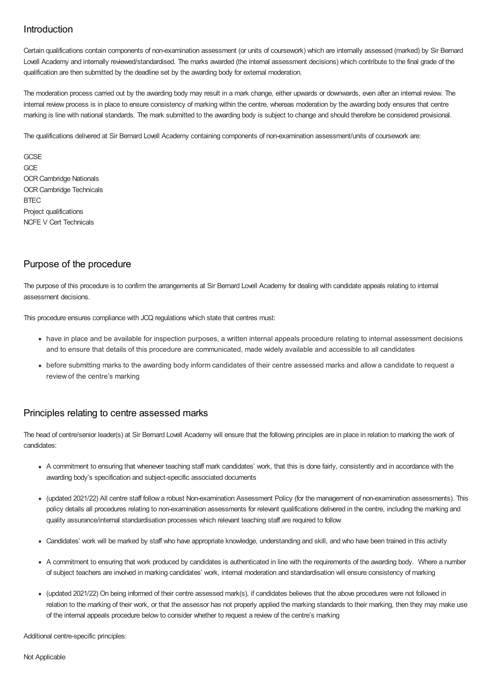# **Introduction**

Certain qualifications contain components of non-examination assessment (or units of coursework) which are internally assessed (marked) by Sir Bernard Lovell Academy and internally reviewed/standardised. The marks awarded (the internal assessment decisions) which contribute to the final grade of the qualification are then submitted by the deadline set by the awarding body for external moderation.

The moderation process carried out by the awarding body may result in a mark change, either upwards or downwards, even after an internal review. The internal review process is in place to ensure consistency of marking within the centre, whereas moderation by the awarding body ensures that centre marking is line with national standards. The mark submitted to the awarding body is subject to change and should therefore be considered provisional.

The qualifications delivered at Sir Bernard Lovell Academy containing components of non-examination assessment/units of coursework are:

**GCSF GCE** OCR Cambridge Nationals OCR Cambridge Technicals **BTEC** Project qualifications NCFE V Cert Technicals

## Purpose of the procedure

The purpose of this procedure is to confirm the arrangements at Sir Bernard Lovell Academy for dealing with candidate appeals relating to internal assessment decisions.

This procedure ensures compliance with JCQ regulations which state that centres must:

- have in place and be available for inspection purposes, a written internal appeals procedure relating to internal assessment decisions and to ensure that details of this procedure are communicated, made widely available and accessible to all candidates
- before submitting marks to the awarding body inform candidates of their centre assessed marks and allow a candidate to request a review of the centre's marking

#### Principles relating to centre assessed marks

The head of centre/senior leader(s) at Sir Bernard Lovell Academy will ensure that the following principles are in place in relation to marking the work of candidates:

- A commitment to ensuring that whenever teaching staff mark candidates' work, that this is done fairly, consistently and in accordance with the awarding body's specification and subject-specific associated documents
- (updated 2021/22) All centre staff follow a robust Non-examination Assessment Policy (for the management of non-examination assessments). This policy details all procedures relating to non-examination assessments for relevant qualifications delivered in the centre, including the marking and quality assurance/internal standardisation processes which relevant teaching staff are required to follow
- Candidates' work will be marked by staff who have appropriate knowledge, understanding and skill, and who have been trained in this activity
- A commitment to ensuring that work produced by candidates is authenticated in line with the requirements of the awarding body. Where a number of subject teachers are involved in marking candidates' work, internal moderation and standardisation will ensure consistency of marking
- (updated 2021/22) On being informed of their centre assessed mark(s), if candidates believes that the above procedures were not followed in relation to the marking of their work, or that the assessor has not properly applied the marking standards to their marking, then they may make use of the internal appeals procedure below to consider whether to request a review of the centre's marking

Additional centre-specific principles: